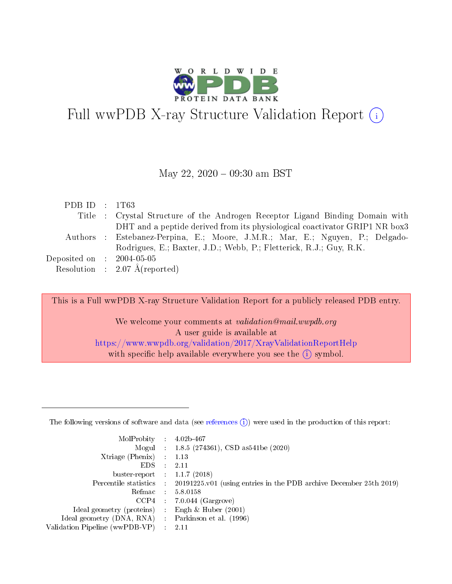

# Full wwPDB X-ray Structure Validation Report  $(i)$

#### May 22,  $2020 - 09:30$  am BST

| PDB ID : $1T63$             |                                                                               |
|-----------------------------|-------------------------------------------------------------------------------|
|                             | Title : Crystal Structure of the Androgen Receptor Ligand Binding Domain with |
|                             | DHT and a peptide derived from its physiological coactivator GRIP1 NR box3    |
|                             | Authors : Estebanez-Perpina, E.; Moore, J.M.R.; Mar, E.; Nguyen, P.; Delgado- |
|                             | Rodrigues, E.; Baxter, J.D.; Webb, P.; Fletterick, R.J.; Guy, R.K.            |
| Deposited on : $2004-05-05$ |                                                                               |
|                             | Resolution : $2.07 \text{ Å}$ (reported)                                      |

This is a Full wwPDB X-ray Structure Validation Report for a publicly released PDB entry.

We welcome your comments at validation@mail.wwpdb.org A user guide is available at <https://www.wwpdb.org/validation/2017/XrayValidationReportHelp> with specific help available everywhere you see the  $(i)$  symbol.

The following versions of software and data (see [references](https://www.wwpdb.org/validation/2017/XrayValidationReportHelp#references)  $(1)$ ) were used in the production of this report:

| MolProbity :                   |               | $4.02b - 467$                                                               |
|--------------------------------|---------------|-----------------------------------------------------------------------------|
|                                |               | Mogul : $1.8.5$ (274361), CSD as 541be (2020)                               |
| Xtriage (Phenix)               | $\mathcal{L}$ | 1.13                                                                        |
| EDS.                           |               | 2.11                                                                        |
| buster-report : $1.1.7$ (2018) |               |                                                                             |
| Percentile statistics :        |               | $20191225 \text{v}01$ (using entries in the PDB archive December 25th 2019) |
| Refmac :                       |               | 5.8.0158                                                                    |
| CCP4                           |               | $7.0.044$ (Gargrove)                                                        |
| Ideal geometry (proteins) :    |               | Engh $\&$ Huber (2001)                                                      |
| Ideal geometry (DNA, RNA) :    |               | Parkinson et al. (1996)                                                     |
| Validation Pipeline (wwPDB-VP) | $\mathcal{L}$ | 2.11                                                                        |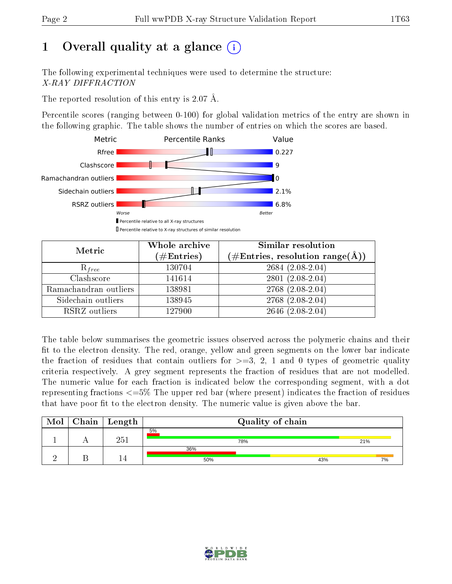# 1 [O](https://www.wwpdb.org/validation/2017/XrayValidationReportHelp#overall_quality)verall quality at a glance  $(i)$

The following experimental techniques were used to determine the structure: X-RAY DIFFRACTION

The reported resolution of this entry is 2.07 Å.

Percentile scores (ranging between 0-100) for global validation metrics of the entry are shown in the following graphic. The table shows the number of entries on which the scores are based.



| Metric                | Whole archive<br>$(\#\text{Entries})$ | Similar resolution<br>$(\#\text{Entries},\,\text{resolution}\,\,\text{range}(\textup{\AA}))$ |  |  |
|-----------------------|---------------------------------------|----------------------------------------------------------------------------------------------|--|--|
| $R_{free}$            | 130704                                | $2684(2.08-2.04)$                                                                            |  |  |
| Clashscore            | 141614                                | $2801(2.08-2.04)$                                                                            |  |  |
| Ramachandran outliers | 138981                                | $2768(2.08-2.04)$                                                                            |  |  |
| Sidechain outliers    | 138945                                | $2768(2.08-2.04)$                                                                            |  |  |
| RSRZ outliers         | 127900                                | $2646$ $(2.08-2.04)$                                                                         |  |  |

The table below summarises the geometric issues observed across the polymeric chains and their fit to the electron density. The red, orange, yellow and green segments on the lower bar indicate the fraction of residues that contain outliers for  $>=3, 2, 1$  and 0 types of geometric quality criteria respectively. A grey segment represents the fraction of residues that are not modelled. The numeric value for each fraction is indicated below the corresponding segment, with a dot representing fractions  $\epsilon=5\%$  The upper red bar (where present) indicates the fraction of residues that have poor fit to the electron density. The numeric value is given above the bar.

| Mol | $\mid$ Chain $\mid$ Length $\mid$ |            | Quality of chain |     |
|-----|-----------------------------------|------------|------------------|-----|
|     | 251                               | 5%         | 78%              | 21% |
|     |                                   | 36%<br>50% | 43%              | 7%  |
|     |                                   |            |                  |     |

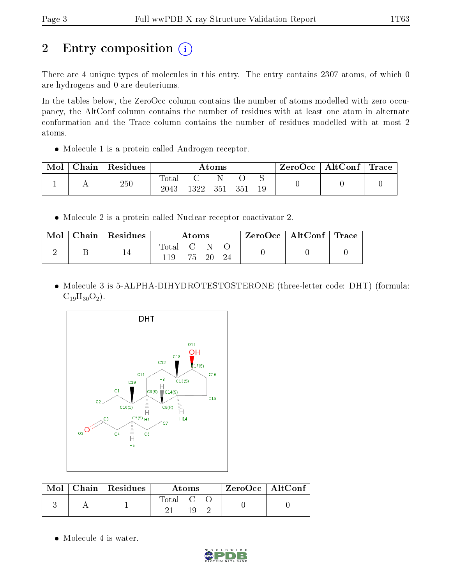# 2 Entry composition (i)

There are 4 unique types of molecules in this entry. The entry contains 2307 atoms, of which 0 are hydrogens and 0 are deuteriums.

In the tables below, the ZeroOcc column contains the number of atoms modelled with zero occupancy, the AltConf column contains the number of residues with at least one atom in alternate conformation and the Trace column contains the number of residues modelled with at most 2 atoms.

• Molecule 1 is a protein called Androgen receptor.

| Mol | Chain | Residues | Atoms               |      |     |     | ZeroOcc | $\mid$ AltConf $\mid$ Trace |  |  |
|-----|-------|----------|---------------------|------|-----|-----|---------|-----------------------------|--|--|
|     |       | 250      | $\rm Total$<br>2043 | 1322 | 351 | 351 | 19      |                             |  |  |

Molecule 2 is a protein called Nuclear receptor coactivator 2.

| $\bf{Mol}$ | Chain   Residues | Atoms              |  |          |  | ZeroOcc   AltConf   Trace |  |
|------------|------------------|--------------------|--|----------|--|---------------------------|--|
|            |                  | Total C N \<br>119 |  | 75 20 24 |  |                           |  |

 Molecule 3 is 5-ALPHA-DIHYDROTESTOSTERONE (three-letter code: DHT) (formula:  $C_{19}H_{30}O_2$ ).



|  | $Mol$   Chain   Residues | Atoms   | $ZeroOcc \mid AltConf \mid$ |
|--|--------------------------|---------|-----------------------------|
|  |                          | Total C |                             |

• Molecule 4 is water.

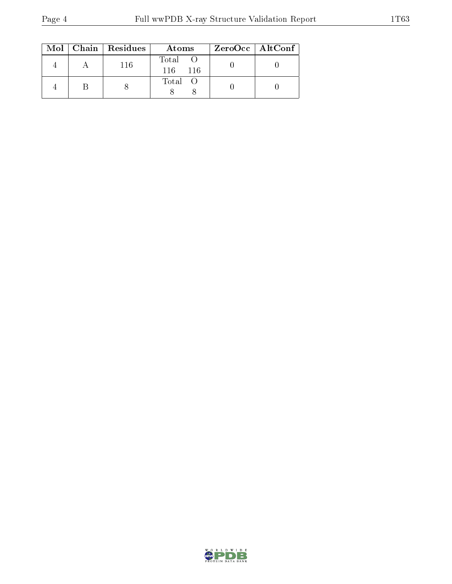|  | Mol   Chain   Residues | Atoms                 | $ZeroOcc \   \ AltConf$ |  |
|--|------------------------|-----------------------|-------------------------|--|
|  | 116                    | Total<br>116.<br>-116 |                         |  |
|  |                        | Total O               |                         |  |

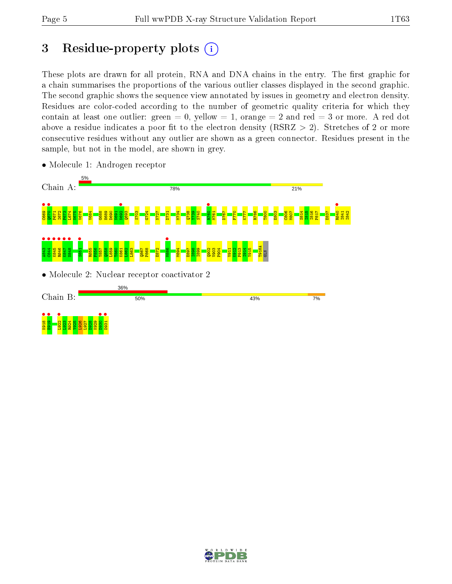# 3 Residue-property plots  $(i)$

These plots are drawn for all protein, RNA and DNA chains in the entry. The first graphic for a chain summarises the proportions of the various outlier classes displayed in the second graphic. The second graphic shows the sequence view annotated by issues in geometry and electron density. Residues are color-coded according to the number of geometric quality criteria for which they contain at least one outlier: green  $= 0$ , yellow  $= 1$ , orange  $= 2$  and red  $= 3$  or more. A red dot above a residue indicates a poor fit to the electron density (RSRZ  $> 2$ ). Stretches of 2 or more consecutive residues without any outlier are shown as a green connector. Residues present in the sample, but not in the model, are shown in grey.



• Molecule 1: Androgen receptor

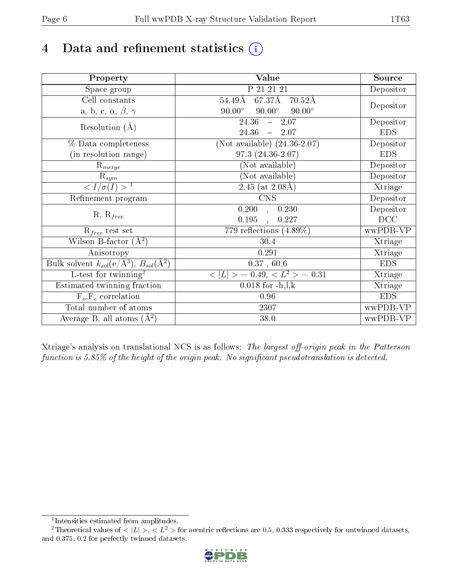# 4 Data and refinement statistics  $(i)$

| Property                                                             | Value                                           | Source     |
|----------------------------------------------------------------------|-------------------------------------------------|------------|
| Space group                                                          | P 21 21 21                                      | Depositor  |
| Cell constants                                                       | 67.37Å<br>54.49Å<br>$70.52\text{\AA}$           |            |
| a, b, c, $\alpha$ , $\beta$ , $\gamma$                               | $90.00^\circ$<br>$90.00^\circ$<br>$90.00^\circ$ | Depositor  |
| Resolution $(A)$                                                     | $24.\overline{36}$<br>$-2.07$                   | Depositor  |
|                                                                      | 24.36<br>$-2.07$                                | <b>EDS</b> |
| % Data completeness                                                  | (Not available) $(24.36 - 2.07)$                | Depositor  |
| (in resolution range)                                                | 97.3 (24.36-2.07)                               | <b>EDS</b> |
| $R_{merge}$                                                          | (Not available)                                 | Depositor  |
| $\mathrm{R}_{sym}$                                                   | (Not available)                                 | Depositor  |
| $\langle I/\sigma(I) \rangle^{-1}$                                   | $2.45$ (at $2.08$ A)                            | Xtriage    |
| Refinement program                                                   | $\overline{\text{CNS}}$                         | Depositor  |
|                                                                      | 0.200<br>0.230<br>$\overline{ }$                | Depositor  |
| $R, R_{free}$                                                        | 0.195<br>0.227                                  | DCC        |
| $R_{free}$ test set                                                  | 779 reflections $(4.89\%)$                      | wwPDB-VP   |
| Wilson B-factor $(A^2)$                                              | 30.4                                            | Xtriage    |
| Anisotropy                                                           | 0.291                                           | Xtriage    |
| Bulk solvent $k_{sol}(e/\mathring{A}^3)$ , $B_{sol}(\mathring{A}^2)$ | 0.37, 60.6                                      | <b>EDS</b> |
| L-test for twinning <sup>2</sup>                                     | $< L >$ = 0.49, $< L2$ > = 0.31                 | Xtriage    |
| Estimated twinning fraction                                          | $0.018$ for $-h, l, k$                          | Xtriage    |
| $F_o, F_c$ correlation                                               | 0.96                                            | <b>EDS</b> |
| Total number of atoms                                                | 2307                                            | wwPDB-VP   |
| Average B, all atoms $(A^2)$                                         | 38.0                                            | wwPDB-VP   |

Xtriage's analysis on translational NCS is as follows: The largest off-origin peak in the Patterson function is  $5.85\%$  of the height of the origin peak. No significant pseudotranslation is detected.

<sup>&</sup>lt;sup>2</sup>Theoretical values of  $\langle |L| \rangle$ ,  $\langle L^2 \rangle$  for acentric reflections are 0.5, 0.333 respectively for untwinned datasets, and 0.375, 0.2 for perfectly twinned datasets.



<span id="page-5-1"></span><span id="page-5-0"></span><sup>1</sup> Intensities estimated from amplitudes.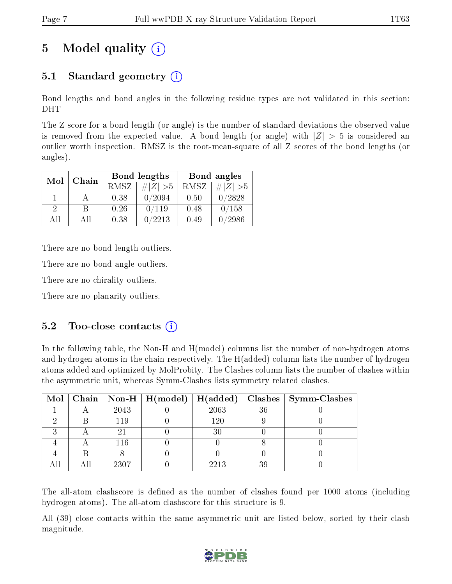# 5 Model quality  $(i)$

# 5.1 Standard geometry  $(i)$

Bond lengths and bond angles in the following residue types are not validated in this section: DHT

The Z score for a bond length (or angle) is the number of standard deviations the observed value is removed from the expected value. A bond length (or angle) with  $|Z| > 5$  is considered an outlier worth inspection. RMSZ is the root-mean-square of all Z scores of the bond lengths (or angles).

| Mol | Chain |      | Bond lengths | Bond angles |             |  |
|-----|-------|------|--------------|-------------|-------------|--|
|     |       | RMSZ | $\# Z  > 5$  | RMSZ        | # $ Z  > 5$ |  |
|     |       | 0.38 | 0/2094       | 0.50        | 0/2828      |  |
| 9   |       | 0.26 | 0/119        | 0.48        | 0/158       |  |
| ΔH  | A 11  | 0.38 | 0/2213       | 0.49        | /2986       |  |

There are no bond length outliers.

There are no bond angle outliers.

There are no chirality outliers.

There are no planarity outliers.

### $5.2$  Too-close contacts  $(i)$

In the following table, the Non-H and H(model) columns list the number of non-hydrogen atoms and hydrogen atoms in the chain respectively. The H(added) column lists the number of hydrogen atoms added and optimized by MolProbity. The Clashes column lists the number of clashes within the asymmetric unit, whereas Symm-Clashes lists symmetry related clashes.

|  |      |         |    | Mol   Chain   Non-H   H(model)   H(added)   Clashes   Symm-Clashes |
|--|------|---------|----|--------------------------------------------------------------------|
|  | 2043 | 2063    | 36 |                                                                    |
|  | 119  | $120\,$ |    |                                                                    |
|  |      |         |    |                                                                    |
|  | 116  |         |    |                                                                    |
|  |      |         |    |                                                                    |
|  | 2307 | 2213    | 39 |                                                                    |

The all-atom clashscore is defined as the number of clashes found per 1000 atoms (including hydrogen atoms). The all-atom clashscore for this structure is 9.

All (39) close contacts within the same asymmetric unit are listed below, sorted by their clash magnitude.

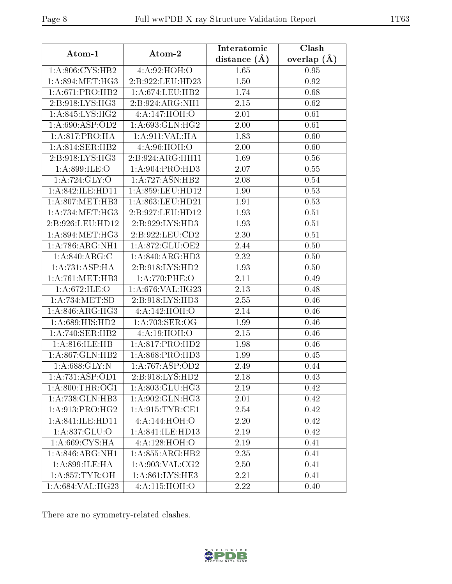| Atom-1                          | Atom-2              | Interatomic      | Clash         |  |
|---------------------------------|---------------------|------------------|---------------|--|
|                                 |                     | distance $(\AA)$ | overlap $(A)$ |  |
| 1:A:806:CYS:HB2                 | 4: A:92: HOH:O      | 1.65             | 0.95          |  |
| 1: A:894:MET:HG3                | 2:B:922:LEU:HD23    | 1.50             | 0.92          |  |
| 1: A:671: PRO:HB2               | 1: A:674:LEU:HB2    | 1.74             | 0.68          |  |
| 2:B:918:LYS:HG3                 | 2:B:924:ARG:NH1     | 2.15             | 0.62          |  |
| 1: A:845: LYS: HG2              | 4:A:147:HOH:O       | 2.01             | 0.61          |  |
| 1: A:690: ASP:OD2               | 1: A:693: GLN: HG2  | 2.00             | 0.61          |  |
| 1: A:817: PRO:HA                | 1: A:911: VAL:HA    | 1.83             | 0.60          |  |
| 1: A:814: SER: HB2              | 4:A:96:HOH:O        | 2.00             | 0.60          |  |
| 2:B:918:LYS:HG3                 | 2:B:924:ARG:HH11    | 1.69             | 0.56          |  |
| 1:A:899:ILE:O                   | 1: A:904: PRO:HD3   | 2.07             | 0.55          |  |
| 1: A:724: GLY:O                 | 1:A:727:ASN:HB2     | 2.08             | 0.54          |  |
| 1:A:842:ILE:HD11                | 1:A:859:LEU:HD12    | 1.90             | 0.53          |  |
| 1: A:807: MET:HB3               | 1: A:863:LEU:HD21   | 1.91             | 0.53          |  |
| 1: A:734: MET:HG3               | 2:B:927:LEU:HD12    | 1.93             | 0.51          |  |
| 2:B:926:LEU:HD12                | 2:B:929:LYS:HD3     | 1.93             | 0.51          |  |
| 1: A:894:MET:HG3                | 2:B:922:LEU:CD2     | 2.30             | 0.51          |  |
| 1: A:786:ARG:NH1                | 1:A:872:GLU:OE2     | 2.44             | 0.50          |  |
| 1: A:840:ARG:C                  | 1: A:840:ARG:HD3    | 2.32             | 0.50          |  |
| $1:A:731:\overline{\rm ASP:HA}$ | 2:B:918:LYS:HD2     | 1.93             | 0.50          |  |
| 1: A:761:MET:HB3                | 1:A:770:PHE:O       | 2.11             | 0.49          |  |
| 1:A:672:ILE:O                   | 1:A:676:VAL:HG23    | 2.13             | 0.48          |  |
| 1:A:734:MET:SD                  | 2:B:918:LYS:HD3     | 2.55             | 0.46          |  |
| 1: A:846: ARG: HG3              | 4:A:142:HOH:O       | 2.14             | 0.46          |  |
| $1: A:689:HIS:H\overline{D2}$   | $1: A:703:$ SER:OG  | 1.99             | 0.46          |  |
| 1:A:740:SER:HB2                 | 4:A:19:HOH:O        | 2.15             | 0.46          |  |
| 1: A:816: ILE: HB               | 1: A:817: PRO:HD2   | 1.98             | 0.46          |  |
| 1: A:867: GLN:HB2               | 1: A:868: PRO:HD3   | 1.99             | 0.45          |  |
| 1: A:688: GLY:N                 | 1:A:767:ASP:OD2     | 2.49             | 0.44          |  |
| 1:A:731:ASP:OD1                 | 2:B:918:LYS:HD2     | 2.18             | 0.43          |  |
| 1: A:800:THR:OG1                | 1: A:803: GLU:HG3   | 2.19             | 0.42          |  |
| 1: A:738: GLN:HB3               | 1: A:902: GLN: HG3  | 2.01             | 0.42          |  |
| $1:A:913:P\overline{RO:HG2}$    | 1: A:915: TYR: CE1  | 2.54             | 0.42          |  |
| 1:A:841:ILE:HD11                | 4:A:144:HOH:O       | 2.20             | 0.42          |  |
| 1: A:837: GLU:O                 | 1: A:841: ILE: HDI3 | 2.19             | 0.42          |  |
| 1:A:669:CYS:HA                  | 4:A:128:HOH:O       | 2.19             | 0.41          |  |
| 1: A:846:ARG:NH1                | 1:A:855:ARG:HB2     | 2.35             | 0.41          |  |
| 1:A:899:ILE:HA                  | 1: A:903: VAL: CG2  | 2.50             | 0.41          |  |
| 1:A:857:TYR:OH                  | 1: A:861:LYS:HE3    | 2.21             | 0.41          |  |
| 1:A:684:VAL:HG23                | 4:A:115:HOH:O       | 2.22             | 0.40          |  |

There are no symmetry-related clashes.

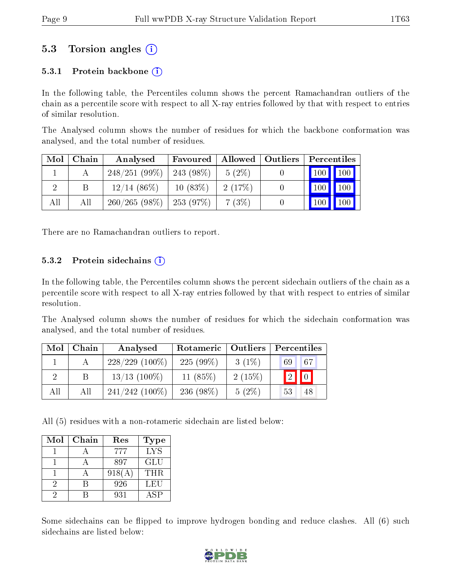### 5.3 Torsion angles (i)

#### 5.3.1 Protein backbone  $(i)$

In the following table, the Percentiles column shows the percent Ramachandran outliers of the chain as a percentile score with respect to all X-ray entries followed by that with respect to entries of similar resolution.

The Analysed column shows the number of residues for which the backbone conformation was analysed, and the total number of residues.

| Mol | Chain | Analysed                     | Favoured   | Allowed  | Outliers | Percentiles |     |
|-----|-------|------------------------------|------------|----------|----------|-------------|-----|
|     |       | $248/251(99\%)$              | 243 (98\%) | $5(2\%)$ |          | 100 100     |     |
|     | В     | $12/14(86\%)$                | 10(83%)    | 2(17%)   |          | 100         | 100 |
| All | All   | $260/265(98\%)$   253 (97\%) |            | 7(3%)    |          | $100 \mid$  | 100 |

There are no Ramachandran outliers to report.

#### 5.3.2 Protein sidechains  $(i)$

In the following table, the Percentiles column shows the percent sidechain outliers of the chain as a percentile score with respect to all X-ray entries followed by that with respect to entries of similar resolution.

The Analysed column shows the number of residues for which the sidechain conformation was analysed, and the total number of residues.

| Mol | Chain | Analysed          | Rotameric   Outliers |          | Percentiles             |
|-----|-------|-------------------|----------------------|----------|-------------------------|
|     |       | $228/229$ (100%)  | $225(99\%)$          | $3(1\%)$ | 67<br>69                |
|     |       | $13/13$ (100\%)   | 11 $(85%)$           | 2(15%)   | $\boxed{2}$ $\boxed{0}$ |
| All | All   | $241/242$ (100\%) | $236(98\%)$          | $5(2\%)$ | 53<br>48                |

All (5) residues with a non-rotameric sidechain are listed below:

| Mol | Chain | Res    | <b>Type</b> |
|-----|-------|--------|-------------|
|     |       | 777    | <b>LYS</b>  |
|     |       | 897    | GLU         |
|     |       | 918(A) | <b>THR</b>  |
| 9   |       | 926    | LEU         |
|     |       | 931    | ASP         |

Some sidechains can be flipped to improve hydrogen bonding and reduce clashes. All (6) such sidechains are listed below:

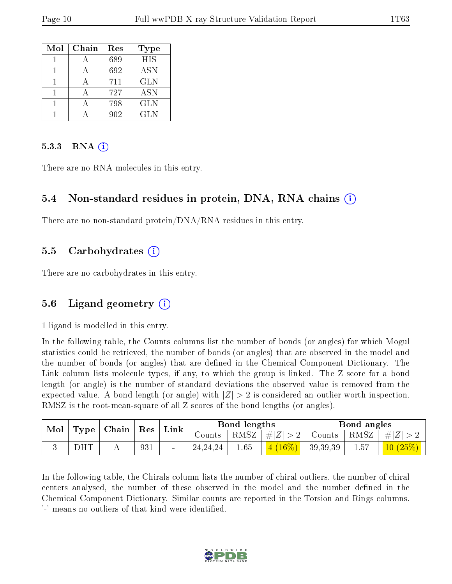| Mol | Chain | Res | Type       |
|-----|-------|-----|------------|
|     |       | 689 | <b>HIS</b> |
|     |       | 692 | <b>ASN</b> |
|     |       | 711 | <b>GLN</b> |
|     |       | 727 | <b>ASN</b> |
|     |       | 798 | <b>GLN</b> |
|     |       | 902 | GLN.       |

#### 5.3.3 RNA  $(i)$

There are no RNA molecules in this entry.

### 5.4 Non-standard residues in protein, DNA, RNA chains (i)

There are no non-standard protein/DNA/RNA residues in this entry.

#### 5.5 Carbohydrates (i)

There are no carbohydrates in this entry.

### 5.6 Ligand geometry  $(i)$

1 ligand is modelled in this entry.

In the following table, the Counts columns list the number of bonds (or angles) for which Mogul statistics could be retrieved, the number of bonds (or angles) that are observed in the model and the number of bonds (or angles) that are dened in the Chemical Component Dictionary. The Link column lists molecule types, if any, to which the group is linked. The Z score for a bond length (or angle) is the number of standard deviations the observed value is removed from the expected value. A bond length (or angle) with  $|Z| > 2$  is considered an outlier worth inspection. RMSZ is the root-mean-square of all Z scores of the bond lengths (or angles).

| $\operatorname{Mol}$ | Type       | $\mid$ Chain $\mid$ Res $\mid$ Link $\mid$ |     |            | Bond lengths |                 |          | Bond angles    |                                  |
|----------------------|------------|--------------------------------------------|-----|------------|--------------|-----------------|----------|----------------|----------------------------------|
|                      |            |                                            |     | Counts     |              | RMSZ $ #Z  > 2$ | Counts   | $^+$ RMSZ $_+$ | $\# Z $                          |
|                      | <b>DHT</b> |                                            | 931 | 24, 24, 24 | 1.65         | $(16\%)$<br>4.  | 39,39,39 | 1.57           | $\left  \frac{10}{25\%} \right $ |

In the following table, the Chirals column lists the number of chiral outliers, the number of chiral centers analysed, the number of these observed in the model and the number defined in the Chemical Component Dictionary. Similar counts are reported in the Torsion and Rings columns. '-' means no outliers of that kind were identified.

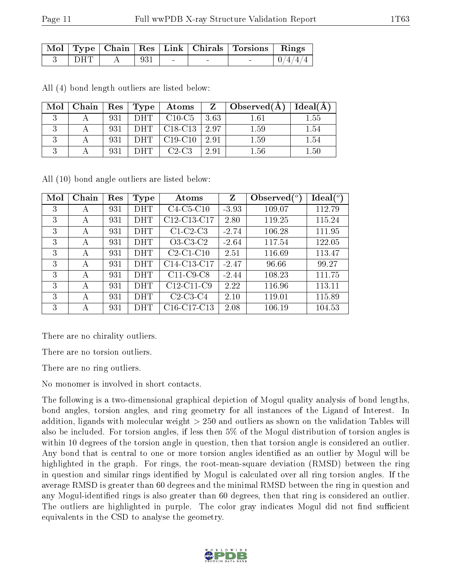|     |     |        | $\mid$ Mol $\mid$ Type $\mid$ Chain $\mid$ Res $\mid$ Link $\mid$ Chirals $\mid$ Torsions $\mid$ Rings |  |
|-----|-----|--------|--------------------------------------------------------------------------------------------------------|--|
| DHT | 93! | $\sim$ | $\sim$                                                                                                 |  |

All (4) bond length outliers are listed below:

| Mol | Chain |     | $\operatorname{Res}$   $\operatorname{Type}$ | $\boldsymbol{\mathrm{Atoms}}$                    | $Z =$           | $\vert$ Observed $(A)$ $\vert$ | Ideal(A) |
|-----|-------|-----|----------------------------------------------|--------------------------------------------------|-----------------|--------------------------------|----------|
|     |       | 931 | DHT                                          | $\mid$ C <sub>10</sub> -C <sub>5</sub>           | 3.63            | 1.61                           | 1.55     |
|     |       | 931 | DHT                                          | $\pm$ C18-C13                                    | $^{\circ}$ 2.97 | 1.59                           | 1.54     |
|     |       | 931 | DHT -                                        | $\vert$ C <sub>19</sub> -C <sub>10</sub> $\vert$ | 2.91            | 1.59                           | 1.54     |
|     |       | 931 | - I) H T                                     | $\perp$ C2-C3                                    | 2.91            | $1.56\,$                       | 1.50     |

All (10) bond angle outliers are listed below:

| Mol | Chain | Res | <b>Type</b> | Atoms                                             | Z       | Observed( | Ideal (°) |
|-----|-------|-----|-------------|---------------------------------------------------|---------|-----------|-----------|
| 3   | А     | 931 | DHT         | $C4-C5-C10$                                       | $-3.93$ | 109.07    | 112.79    |
| 3   | А     | 931 | DHT         | C12-C13-C17                                       | 2.80    | 119.25    | 115.24    |
| 3   | А     | 931 | DHT         | $C1-C2-C3$                                        | $-2.74$ | 106.28    | 111.95    |
| 3   | А     | 931 | DHT         | $O3-C3-C2$                                        | $-2.64$ | 117.54    | 122.05    |
| 3   | А     | 931 | DHT         | $C2-C1-C10$                                       | 2.51    | 116.69    | 113.47    |
| 3   | А     | 931 | DHT         | C14-C13-C17                                       | $-2.47$ | 96.66     | 99.27     |
| 3   | А     | 931 | DHT         | $C11-C9-C8$                                       | $-2.44$ | 108.23    | 111.75    |
| 3   | А     | 931 | DHT         | $C12-C11-C9$                                      | 2.22    | 116.96    | 113.11    |
| 3   | А     | 931 | DHT         | $C2-C3-C4$                                        | 2.10    | 119.01    | 115.89    |
| 3   | А     | 931 | DHT         | C <sub>16</sub> -C <sub>17</sub> -C <sub>13</sub> | 2.08    | 106.19    | 104.53    |

There are no chirality outliers.

There are no torsion outliers.

There are no ring outliers.

No monomer is involved in short contacts.

The following is a two-dimensional graphical depiction of Mogul quality analysis of bond lengths, bond angles, torsion angles, and ring geometry for all instances of the Ligand of Interest. In addition, ligands with molecular weight > 250 and outliers as shown on the validation Tables will also be included. For torsion angles, if less then 5% of the Mogul distribution of torsion angles is within 10 degrees of the torsion angle in question, then that torsion angle is considered an outlier. Any bond that is central to one or more torsion angles identified as an outlier by Mogul will be highlighted in the graph. For rings, the root-mean-square deviation (RMSD) between the ring in question and similar rings identified by Mogul is calculated over all ring torsion angles. If the average RMSD is greater than 60 degrees and the minimal RMSD between the ring in question and any Mogul-identified rings is also greater than 60 degrees, then that ring is considered an outlier. The outliers are highlighted in purple. The color gray indicates Mogul did not find sufficient equivalents in the CSD to analyse the geometry.

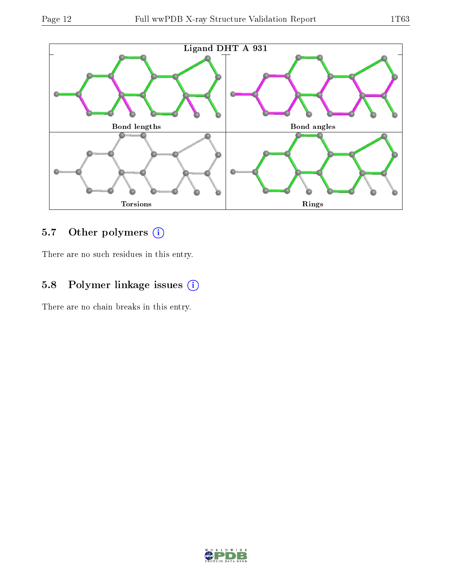

# 5.7 [O](https://www.wwpdb.org/validation/2017/XrayValidationReportHelp#nonstandard_residues_and_ligands)ther polymers (i)

There are no such residues in this entry.

## 5.8 Polymer linkage issues (i)

There are no chain breaks in this entry.

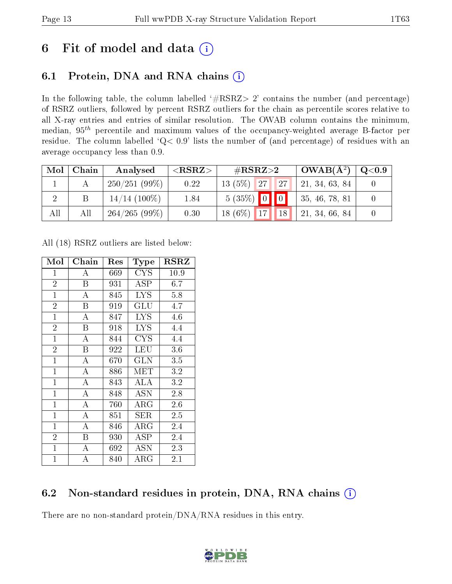# 6 Fit of model and data  $(i)$

# 6.1 Protein, DNA and RNA chains  $(i)$

In the following table, the column labelled  $#RSRZ> 2'$  contains the number (and percentage) of RSRZ outliers, followed by percent RSRZ outliers for the chain as percentile scores relative to all X-ray entries and entries of similar resolution. The OWAB column contains the minimum, median,  $95<sup>th</sup>$  percentile and maximum values of the occupancy-weighted average B-factor per residue. The column labelled ' $Q< 0.9$ ' lists the number of (and percentage) of residues with an average occupancy less than 0.9.

| Mol | Chain | Analysed        | ${ <\hspace{-1.5pt}{\mathrm{RSRZ}} \hspace{-1.5pt}>}$ | # $RSRZ>2$               | $\sigma$ OWAB( $A^2$ ) | $\bf Q\texttt{<}0.9$ |
|-----|-------|-----------------|-------------------------------------------------------|--------------------------|------------------------|----------------------|
|     |       | $250/251(99\%)$ | 0.22                                                  | 27 <br>$13(5\%)$<br>127/ | 21, 34, 63, 84         |                      |
|     |       | $14/14$ (100\%) | 1.84                                                  | $5(35\%)$ 0 0            | 35, 46, 78, 81         |                      |
| All | All   | 264/265(99%)    | 0.30                                                  | 18 $(6\%)$<br>17<br>18   | 21, 34, 66, 84         |                      |

All (18) RSRZ outliers are listed below:

| Mol            | Chain    | $\operatorname{Res}% \left( \mathcal{N}\right) \equiv\operatorname{Res}(\mathcal{N}_{0},\mathcal{N}_{0})$ | <b>Type</b>  | $_{\rm RSRZ}$ |
|----------------|----------|-----------------------------------------------------------------------------------------------------------|--------------|---------------|
| $\overline{1}$ | А        | 669                                                                                                       | CYS          | 10.9          |
| $\overline{2}$ | B        | 931                                                                                                       | <b>ASP</b>   | 6.7           |
| $\mathbf{1}$   | А        | 845                                                                                                       | <b>LYS</b>   | 5.8           |
| $\overline{2}$ | B        | 919                                                                                                       | GLU          | 4.7           |
| $\mathbf{1}$   | А        | 847                                                                                                       | <b>LYS</b>   | 4.6           |
| $\overline{2}$ | B        | 918                                                                                                       | <b>LYS</b>   | 4.4           |
| $\mathbf{1}$   | А        | 844                                                                                                       | <b>CYS</b>   | 4.4           |
| $\overline{2}$ | B        | 922                                                                                                       | LEU          | 3.6           |
| $\overline{1}$ | A        | 670                                                                                                       | <b>GLN</b>   | 3.5           |
| $\mathbf{1}$   | $\bf{A}$ | 886                                                                                                       | MET          | 3.2           |
| $\mathbf{1}$   | A        | 843                                                                                                       | ALA          | 3.2           |
| $\mathbf{1}$   | A        | 848                                                                                                       | <b>ASN</b>   | 2.8           |
| $\mathbf{1}$   | A        | 760                                                                                                       | $\rm{ARG}$   | 2.6           |
| $\mathbf{1}$   | A        | 851                                                                                                       | SER          | $2.5\,$       |
| $\mathbf{1}$   | А        | 846                                                                                                       | $\rm{ARG}$   | 2.4           |
| $\overline{2}$ | B        | 930                                                                                                       | $_{\rm ASP}$ | 2.4           |
| $\mathbf{1}$   | А        | 692                                                                                                       | <b>ASN</b>   | 2.3           |
| $\mathbf{1}$   | А        | 840                                                                                                       | ${\rm ARG}$  | 2.1           |

# 6.2 Non-standard residues in protein, DNA, RNA chains (i)

There are no non-standard protein/DNA/RNA residues in this entry.